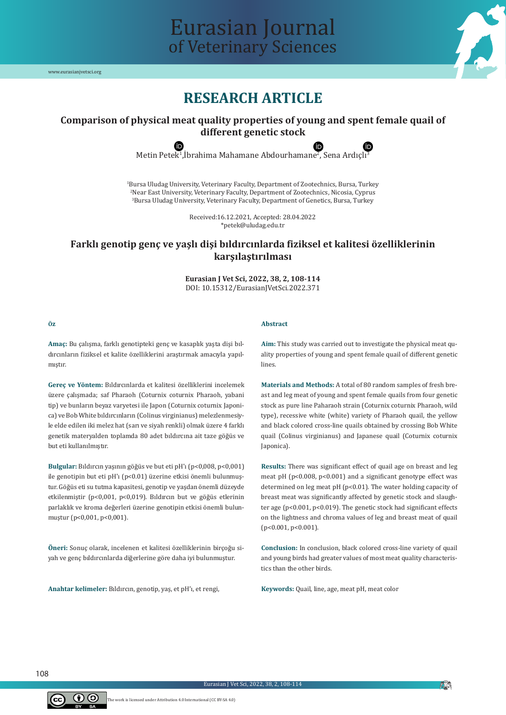

# Eurasian Journal of Veterinary Sciences

# **RESEARCH ARTICLE**

# **Comparison of physical meat quality properties of young and spent female quail of different genetic stock**

Metin Petek<sup>1</sup>,Ibrahima Mahamane Abdourhamane<sup>2</sup>, Sena Ardıçlı<sup>3</sup>

1 Bursa Uludag University, Veterinary Faculty, Department of Zootechnics, Bursa, Turkey 2 Near East University, Veterinary Faculty, Department of Zootechnics, Nicosia, Cyprus 3 Bursa Uludag University, Veterinary Faculty, Department of Genetics, Bursa, Turkey

> Received:16.12.2021, Accepted: 28.04.2022 \*petek@uludag.edu.tr

# **Farklı genotip genç ve yaşlı dişi bıldırcınlarda fiziksel et kalitesi özelliklerinin karşılaştırılması**

**Eurasian J Vet Sci, 2022, 38, 2, 108-114** DOI: 10.15312/EurasianJVetSci.2022.371

#### **Öz**

#### **Abstract**

**Amaç:** Bu çalışma, farklı genotipteki genç ve kasaplık yaşta dişi bıldırcınların fiziksel et kalite özelliklerini araştırmak amacıyla yapılmıştır.

**Gereç ve Yöntem:** Bıldırcınlarda et kalitesi özelliklerini incelemek üzere çalışmada; saf Pharaoh (Coturnix coturnix Pharaoh, yabani tip) ve bunların beyaz varyetesi ile Japon (Coturnix coturnix Japonica) ve Bob White bıldırcınların (Colinus virginianus) melezlenmesiyle elde edilen iki melez hat (sarı ve siyah renkli) olmak üzere 4 farklı genetik materyalden toplamda 80 adet bıldırcına ait taze göğüs ve but eti kullanılmıştır.

**Bulgular:** Bıldırcın yaşının göğüs ve but eti pH'ı (p<0,008, p<0,001) ile genotipin but eti pH'ı (p<0.01) üzerine etkisi önemli bulunmuştur. Göğüs eti su tutma kapasitesi, genotip ve yaşdan önemli düzeyde etkilenmiştir (p<0,001, p<0,019). Bıldırcın but ve göğüs etlerinin parlaklık ve kroma değerleri üzerine genotipin etkisi önemli bulunmuştur (p<0,001, p<0,001).

**Öneri:** Sonuç olarak, incelenen et kalitesi özelliklerinin birçoğu siyah ve genç bıldırcınlarda diğerlerine göre daha iyi bulunmuştur.

**Anahtar kelimeler:** Bıldırcın, genotip, yaş, et pH'ı, et rengi,

**Aim:** This study was carried out to investigate the physical meat quality properties of young and spent female quail of different genetic lines.

**Materials and Methods:** A total of 80 random samples of fresh breast and leg meat of young and spent female quails from four genetic stock as pure line Paharaoh strain (Coturnix coturnix Pharaoh, wild type), recessive white (white) variety of Pharaoh quail, the yellow and black colored cross-line quails obtained by crossing Bob White quail (Colinus virginianus) and Japanese quail (Coturnix coturnix Japonica).

**Results:** There was significant effect of quail age on breast and leg meat pH (p<0.008, p<0.001) and a significant genotype effect was determined on leg meat pH (p<0.01). The water holding capacity of breast meat was significantly affected by genetic stock and slaughter age (p<0.001, p<0.019). The genetic stock had significant effects on the lightness and chroma values of leg and breast meat of quail (p<0.001, p<0.001).

**Conclusion:** In conclusion, black colored cross-line variety of quail and young birds had greater values of most meat quality characteristics than the other birds.

**Keywords:** Quail, line, age, meat pH, meat color

108



**FO**N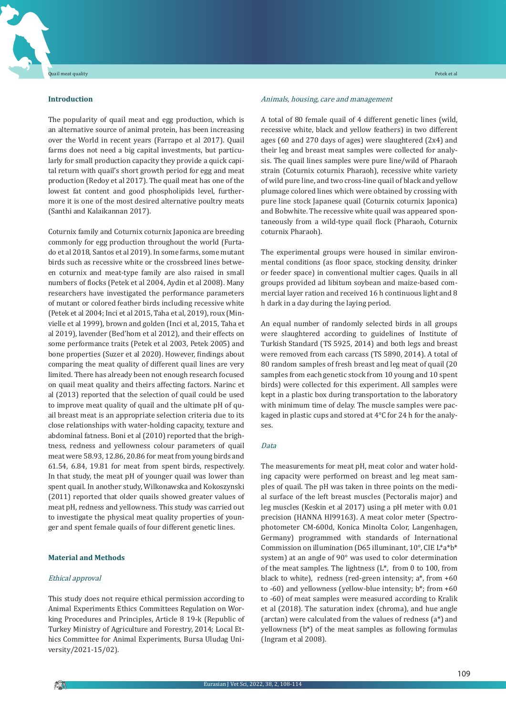# **Introduction**

The popularity of quail meat and egg production, which is an alternative source of animal protein, has been increasing over the World in recent years (Farrapo et al 2017). Quail farms does not need a big capital investments, but particularly for small production capacity they provide a quick capital return with quail's short growth period for egg and meat production (Redoy et al 2017). The quail meat has one of the lowest fat content and good phospholipids level, furthermore it is one of the most desired alternative poultry meats (Santhi and Kalaikannan 2017).

Coturnix family and Coturnix coturnix Japonica are breeding commonly for egg production throughout the world (Furtado et al 2018, Santos et al 2019). In some farms, some mutant birds such as recessive white or the crossbreed lines between coturnix and meat-type family are also raised in small numbers of flocks (Petek et al 2004, Aydin et al 2008). Many researchers have investigated the performance parameters of mutant or colored feather birds including recessive white (Petek et al 2004; Inci et al 2015, Taha et al, 2019), roux (Minvielle et al 1999), brown and golden (Inci et al, 2015, Taha et al 2019), lavender (Bed'hom et al 2012), and their effects on some performance traits (Petek et al 2003, Petek 2005) and bone properties (Suzer et al 2020). However, findings about comparing the meat quality of different quail lines are very limited. There has already been not enough research focused on quail meat quality and theirs affecting factors. Narinc et al (2013) reported that the selection of quail could be used to improve meat quality of quail and the ultimate pH of quail breast meat is an appropriate selection criteria due to its close relationships with water-holding capacity, texture and abdominal fatness. Boni et al (2010) reported that the brightness, redness and yellowness colour parameters of quail meat were 58.93, 12.86, 20.86 for meat from young birds and 61.54, 6.84, 19.81 for meat from spent birds, respectively. In that study, the meat pH of younger quail was lower than spent quail. In another study, Wilkonawska and Kokoszynski (2011) reported that older quails showed greater values of meat pH, redness and yellowness. This study was carried out to investigate the physical meat quality properties of younger and spent female quails of four different genetic lines.

# **Material and Methods**

#### Ethical approval

This study does not require ethical permission according to Animal Experiments Ethics Committees Regulation on Working Procedures and Principles, Article 8 19-k (Republic of Turkey Ministry of Agriculture and Forestry, 2014; Local Ethics Committee for Animal Experiments, Bursa Uludag University/2021-15/02).

## Animals, housing, care and management

A total of 80 female quail of 4 different genetic lines (wild, recessive white, black and yellow feathers) in two different ages (60 and 270 days of ages) were slaughtered (2x4) and their leg and breast meat samples were collected for analysis. The quail lines samples were pure line/wild of Pharaoh strain (Coturnix coturnix Pharaoh), recessive white variety of wild pure line, and two cross-line quail of black and yellow plumage colored lines which were obtained by crossing with pure line stock Japanese quail (Coturnix coturnix Japonica) and Bobwhite. The recessive white quail was appeared spontaneously from a wild-type quail flock (Pharaoh, Coturnix coturnix Pharaoh).

The experimental groups were housed in similar environmental conditions (as floor space, stocking density, drinker or feeder space) in conventional multier cages. Quails in all groups provided ad libitum soybean and maize-based commercial layer ration and received 16 h continuous light and 8 h dark in a day during the laying period.

An equal number of randomly selected birds in all groups were slaughtered according to guidelines of Institute of Turkish Standard (TS 5925, 2014) and both legs and breast were removed from each carcass (TS 5890, 2014). A total of 80 random samples of fresh breast and leg meat of quail (20 samples from each genetic stock from 10 young and 10 spent birds) were collected for this experiment. All samples were kept in a plastic box during transportation to the laboratory with minimum time of delay. The muscle samples were packaged in plastic cups and stored at 4°C for 24 h for the analyses.

## Data

The measurements for meat pH, meat color and water holding capacity were performed on breast and leg meat samples of quail. The pH was taken in three points on the medial surface of the left breast muscles (Pectoralis major) and leg muscles (Keskin et al 2017) using a pH meter with 0.01 precision (HANNA HI99163). A meat color meter (Spectrophotometer CM-600d, Konica Minolta Color, Langenhagen, Germany) programmed with standards of International Commission on illumination (D65 illuminant, 10°, CIE L\*a\*b\* system) at an angle of 90° was used to color determination of the meat samples. The lightness (L\*, from 0 to 100, from black to white), redness (red-green intensity; a\*, from +60 to -60) and yellowness (yellow-blue intensity;  $b^*$ ; from +60 to -60) of meat samples were measured according to Kralik et al (2018). The saturation index (chroma), and hue angle (arctan) were calculated from the values of redness (a\*) and yellowness (b\*) of the meat samples as following formulas (Ingram et al 2008).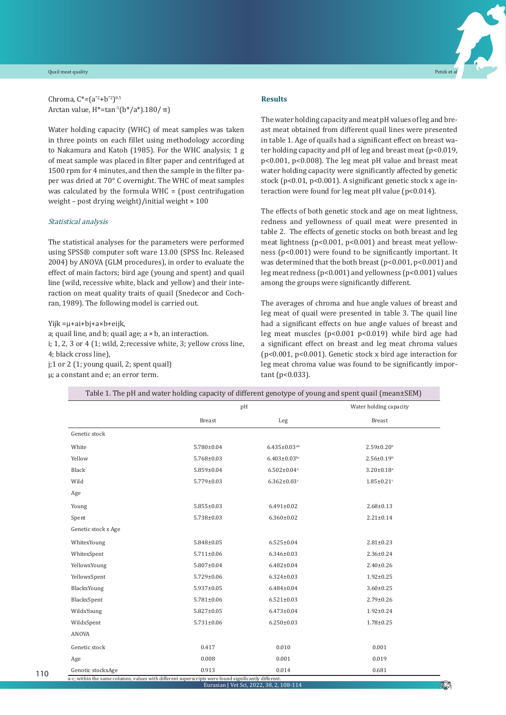#### Quail meat quality Petek et al



Water holding capacity (WHC) of meat samples was taken in three points on each fillet using methodology according to Nakamura and Katoh (1985). For the WHC analysis; 1 g of meat sample was placed in filter paper and centrifuged at 1500 rpm for 4 minutes, and then the sample in the filter paper was dried at 70° C overnight. The WHC of meat samples was calculated by the formula WHC = (post centrifugation weight – post drying weight)/initial weight × 100

# Statistical analysis

The statistical analyses for the parameters were performed using SPSS® computer soft ware 13.00 (SPSS Inc. Released 2004) by ANOVA (GLM procedures), in order to evaluate the effect of main factors; bird age (young and spent) and quail line (wild, recessive white, black and yellow) and their interaction on meat quality traits of quail (Snedecor and Cochran, 1989). The following model is carried out.

Yijk =μ+ai+bj+a×b+eijk,

a; quail line, and b; quail age; a × b, an interaction. i; 1, 2, 3 or 4 (1; wild, 2;recessive white, 3; yellow cross line, 4; black cross line), j;1 or 2 (1; young quail, 2; spent quail) μ; a constant and e; an error term.

# **Results**

The water holding capacity and meat pH values of leg and breast meat obtained from different quail lines were presented in table 1. Age of quails had a significant effect on breast water holding capacity and pH of leg and breast meat (p<0.019, p<0.001, p<0.008). The leg meat pH value and breast meat water holding capacity were significantly affected by genetic stock (p<0.01, p<0.001). A significant genetic stock x age interaction were found for leg meat pH value (p<0.014).

The effects of both genetic stock and age on meat lightness, redness and yellowness of quail meat were presented in table 2. The effects of genetic stocks on both breast and leg meat lightness (p<0.001, p<0.001) and breast meat yellowness (p<0.001) were found to be significantly important. It was determined that the both breast (p<0.001, p<0.001) and leg meat redness (p<0.001) and yellowness (p<0.001) values among the groups were significantly different.

The averages of chroma and hue angle values of breast and leg meat of quail were presented in table 3. The quail line had a significant effects on hue angle values of breast and leg meat muscles (p<0.001 p<0.019) while bird age had a significant effect on breast and leg meat chroma values (p<0.001, p<0.001). Genetic stock x bird age interaction for leg meat chroma value was found to be significantly important (p<0.033).

|                     | pH               |                               | Water holding capacity       |  |
|---------------------|------------------|-------------------------------|------------------------------|--|
|                     | <b>Breast</b>    | Leg                           | <b>Breast</b>                |  |
| Genetic stock       |                  |                               |                              |  |
| White               | 5.780±0.04       | $6.435 \pm 0.03$ ab           | $2.59 \pm 0.20$ <sup>b</sup> |  |
| Yellow              | $5.768 \pm 0.03$ | $6.403 \pm 0.03$ bc           | $2.56 \pm 0.19^b$            |  |
| Black               | $5.859 \pm 0.04$ | $6.502 \pm 0.04$ <sup>a</sup> | $3.20 \pm 0.18$ <sup>a</sup> |  |
| Wild                | $5.779 \pm 0.03$ | $6.362 \pm 0.03$ c            | $1.85 \pm 0.21$ c            |  |
| Age                 |                  |                               |                              |  |
| Young               | $5.855 \pm 0.03$ | $6.491 \pm 0.02$              | $2.68 \pm 0.13$              |  |
| Spent               | $5.738 \pm 0.03$ | $6.360 \pm 0.02$              | $2.21 \pm 0.14$              |  |
| Genetic stock x Age |                  |                               |                              |  |
| WhitexYoung         | $5.848 \pm 0.05$ | $6.525 \pm 0.04$              | $2.81 \pm 0.23$              |  |
| WhitexSpent         | $5.711 \pm 0.06$ | $6.346 \pm 0.03$              | $2.36 \pm 0.24$              |  |
| YellowxYoung        | $5.807 \pm 0.04$ | $6.482 \pm 0.04$              | $2.40 \pm 0.26$              |  |
| YellowxSpent        | $5.729 \pm 0.06$ | $6.324 \pm 0.03$              | $1.92 \pm 0.25$              |  |
| BlackxYoung         | $5.937 \pm 0.05$ | $6.484 \pm 0.04$              | $3.60 \pm 0.25$              |  |
| BlackxSpent         | $5.781 \pm 0.06$ | $6.521 \pm 0.03$              | $2.79 \pm 0.26$              |  |
| WildxYoung          | $5.827 \pm 0.05$ | $6.473 \pm 0.04$              | $1.92 \pm 0.24$              |  |
| WildxSpent          | $5.731 \pm 0.06$ | $6.250 \pm 0.03$              | $1.78 \pm 0.25$              |  |
| ANOVA               |                  |                               |                              |  |
| Genetic stock       | 0.417            | 0.010                         | 0.001                        |  |
| Age                 | 0.008            | 0.001                         | 0.019                        |  |
| Genotic stockxAge   | 0.913            | 0.014                         | 0.681                        |  |

Table 1. The pH and water holding capacity of different genotype of young and spent quail (mean±SEM)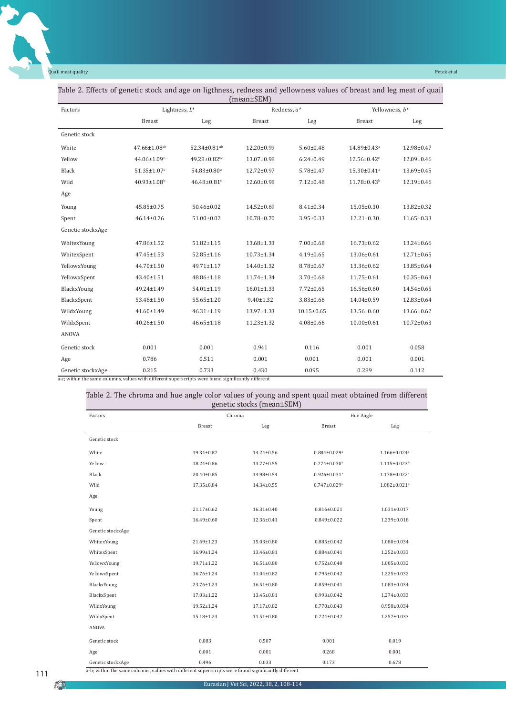Quail meat quality Petek et al

×

| $(mean \pm SEM)$  |                                |                          |                  |                  |                               |                  |  |  |
|-------------------|--------------------------------|--------------------------|------------------|------------------|-------------------------------|------------------|--|--|
| Factors           |                                | Lightness, $L^*$         |                  | Redness, a*      |                               | Yellowness, b*   |  |  |
|                   | <b>Breast</b>                  | Leg                      | <b>Breast</b>    | Leg              | <b>Breast</b>                 | Leg              |  |  |
| Genetic stock     |                                |                          |                  |                  |                               |                  |  |  |
| White             | $47.66 \pm 1.08$ <sup>ab</sup> | 52.34±0.81 <sup>ab</sup> | 12.20±0.99       | $5.60 \pm 0.48$  | 14.89±0.43 <sup>a</sup>       | 12.98±0.47       |  |  |
| Yellow            | 44.06±1.09 <sup>b</sup>        | 49.28±0.82bc             | 13.07±0.98       | $6.24 \pm 0.49$  | $12.56 \pm 0.42$ <sup>b</sup> | 12.09±0.46       |  |  |
| Black             | $51.35 \pm 1.07$ <sup>a</sup>  | 54.83±0.80 <sup>a</sup>  | 12.72±0.97       | $5.78 \pm 0.47$  | $15.30 \pm 0.41$ <sup>a</sup> | $13.69 \pm 0.45$ |  |  |
| Wild              | $40.93 \pm 1.08$ <sup>b</sup>  | 46.48±0.81c              | 12.60±0.98       | $7.12 \pm 0.48$  | 11.78±0.43 <sup>b</sup>       | 12.19±0.46       |  |  |
| Age               |                                |                          |                  |                  |                               |                  |  |  |
| Young             | 45.85±0.75                     | 50.46±0.02               | $14.52 \pm 0.69$ | $8.41 \pm 0.34$  | $15.05 \pm 0.30$              | 13.82±0.32       |  |  |
| Spent             | $46.14 \pm 0.76$               | 51.00±0.02               | 10.78±0.70       | $3.95 \pm 0.33$  | $12.21 \pm 0.30$              | $11.65 \pm 0.33$ |  |  |
| Genetic stockxAge |                                |                          |                  |                  |                               |                  |  |  |
| WhitexYoung       | 47.86±1.52                     | $51.82 \pm 1.15$         | 13.68±1.33       | $7.00 \pm 0.68$  | $16.73 \pm 0.62$              | $13.24 \pm 0.66$ |  |  |
| WhitexSpent       | 47.45±1.53                     | 52.85±1.16               | $10.73 \pm 1.34$ | $4.19 \pm 0.65$  | 13.06±0.61                    | $12.71 \pm 0.65$ |  |  |
| YellowxYoung      | 44.70±1.50                     | $49.71 \pm 1.17$         | 14.40±1.32       | $8.78 \pm 0.67$  | $13.36 \pm 0.62$              | 13.85±0.64       |  |  |
| YellowxSpent      | 43.40±1.51                     | 48.86±1.18               | 11.74±1.34       | $3.70 \pm 0.68$  | $11.75 \pm 0.61$              | $10.35 \pm 0.63$ |  |  |
| BlackxYoung       | 49.24±1.49                     | 54.01±1.19               | $16.01 \pm 1.33$ | $7.72 \pm 0.65$  | 16.56±0.60                    | 14.54±0.65       |  |  |
| BlackxSpent       | 53.46±1.50                     | 55.65±1.20               | $9.40 \pm 1.32$  | $3.83 \pm 0.66$  | $14.04 \pm 0.59$              | 12.83±0.64       |  |  |
| WildxYoung        | 41.60±1.49                     | $46.31 \pm 1.19$         | 13.97±1.33       | $10.15 \pm 0.65$ | 13.56±0.60                    | 13.66±0.62       |  |  |
| WildxSpent        | $40.26 \pm 1.50$               | $46.65 \pm 1.18$         | $11.23 \pm 1.32$ | $4.08 \pm 0.66$  | $10.00 \pm 0.61$              | $10.72 \pm 0.63$ |  |  |
| ANOVA             |                                |                          |                  |                  |                               |                  |  |  |
| Genetic stock     | 0.001                          | 0.001                    | 0.941            | 0.116            | 0.001                         | 0.058            |  |  |
| Age               | 0.786                          | 0.511                    | 0.001            | 0.001            | 0.001                         | 0.001            |  |  |
| Genetic stockxAge | 0.215                          | 0.733                    | 0.430            | 0.095            | 0.289                         | 0.112            |  |  |

a-c; within the same columns, values with different superscripts were found significantly different

| Factors           |                  | Chroma           |                                | Hue Angle                      |  |  |
|-------------------|------------------|------------------|--------------------------------|--------------------------------|--|--|
|                   | Breast           | Leg              | Breast                         | Leg                            |  |  |
| Genetic stock     |                  |                  |                                |                                |  |  |
| White             | 19.34±0.87       | 14.24±0.56       | $0.884 \pm 0.029$ <sup>a</sup> | $1.166 \pm 0.024$ <sup>a</sup> |  |  |
| Yellow            | 18.24±0.86       | $13.77 \pm 0.55$ | $0.774 \pm 0.030$ <sup>b</sup> | $1.115 \pm 0.023$ <sup>b</sup> |  |  |
| Black             | 20.40±0.85       | 14.98±0.54       | $0.926 \pm 0.031$ <sup>a</sup> | $1.178 \pm 0.022$ <sup>a</sup> |  |  |
| Wild              | 17.35±0.84       | 14.34±0.55       | $0.747 \pm 0.029$ <sup>b</sup> | $1.082 \pm 0.021$ <sup>b</sup> |  |  |
| Age               |                  |                  |                                |                                |  |  |
| Young             | 21.17±0.62       | $16.31 \pm 0.40$ | $0.816 \pm 0.021$              | $1.031 \pm 0.017$              |  |  |
| Spent             | 16.49±0.60       | 12.36±0.41       | $0.849 \pm 0.022$              | 1.239±0.018                    |  |  |
| Genetic stockxAge |                  |                  |                                |                                |  |  |
| WhitexYoung       | 21.69±1.23       | $15.03 \pm 0.80$ | $0.885 \pm 0.042$              | 1.080±0.034                    |  |  |
| WhitexSpent       | 16.99±1.24       | 13.46±0.81       | $0.884 \pm 0.041$              | 1.252±0.033                    |  |  |
| YellowxYoung      | $19.71 \pm 1.22$ | $16.51 \pm 0.80$ | $0.752 \pm 0.040$              | $1.005 \pm 0.032$              |  |  |
| YellowxSpent      | 16.76±1.24       | $11.04 \pm 0.82$ | $0.795 \pm 0.042$              | 1.225±0.032                    |  |  |
| BlackxYoung       | 23.76±1.23       | $16.51 \pm 0.80$ | $0.859 \pm 0.041$              | 1.083±0.034                    |  |  |
| BlackxSpent       | $17.03 \pm 1.22$ | 13.45±0.81       | $0.993 \pm 0.042$              | 1.274±0.033                    |  |  |
| WildxYoung        | 19.52±1.24       | $17.17 \pm 0.82$ | $0.770 \pm 0.043$              | $0.958 \pm 0.034$              |  |  |
| WildxSpent        | 15.18±1.23       | $11.51 \pm 0.80$ | $0.724 \pm 0.042$              | 1.257±0.033                    |  |  |
| ANOVA             |                  |                  |                                |                                |  |  |
| Genetic stock     | 0.083            | 0.507            | 0.001                          | 0.019                          |  |  |
| Age               | 0.001            | 0.001            | 0.268                          | 0.001                          |  |  |
| Genetic stockxAge | 0.496            | 0.033            | 0.173                          | 0.678                          |  |  |

AN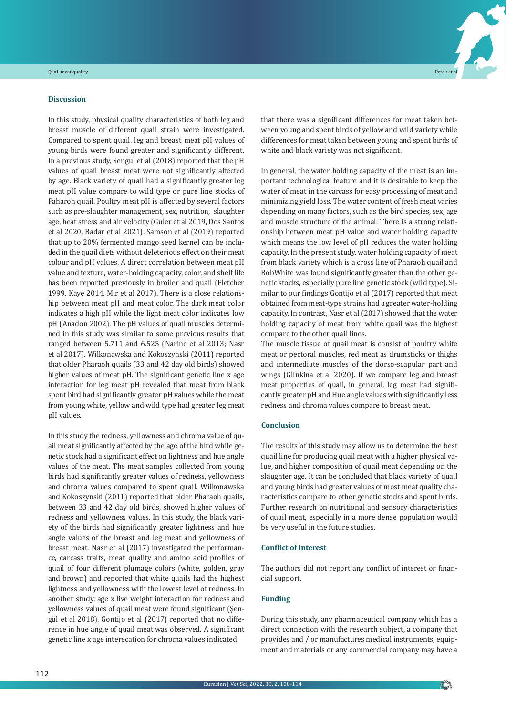## **Discussion**

In this study, physical quality characteristics of both leg and breast muscle of different quail strain were investigated. Compared to spent quail, leg and breast meat pH values of young birds were found greater and significantly different. In a previous study, Sengul et al (2018) reported that the pH values of quail breast meat were not significantly affected by age. Black variety of quail had a significantly greater leg meat pH value compare to wild type or pure line stocks of Paharoh quail. Poultry meat pH is affected by several factors such as pre-slaughter management, sex, nutrition, slaughter age, heat stress and air velocity (Guler et al 2019, Dos Santos et al 2020, Badar et al 2021). Samson et al (2019) reported that up to 20% fermented mango seed kernel can be included in the quail diets without deleterious effect on their meat colour and pH values. A direct correlation between meat pH value and texture, water-holding capacity, color, and shelf life has been reported previously in broiler and quail (Fletcher 1999, Kaye 2014, Mir et al 2017). There is a close relationship between meat pH and meat color. The dark meat color indicates a high pH while the light meat color indicates low pH (Anadon 2002). The pH values of quail muscles determined in this study was similar to some previous results that ranged between 5.711 and 6.525 (Narinc et al 2013; Nasr et al 2017). Wilkonawska and Kokoszynski (2011) reported that older Pharaoh quails (33 and 42 day old birds) showed higher values of meat pH. The significant genetic line x age interaction for leg meat pH revealed that meat from black spent bird had significantly greater pH values while the meat from young white, yellow and wild type had greater leg meat pH values.

In this study the redness, yellowness and chroma value of quail meat significantly affected by the age of the bird while genetic stock had a significant effect on lightness and hue angle values of the meat. The meat samples collected from young birds had significantly greater values of redness, yellowness and chroma values compared to spent quail. Wilkonawska and Kokoszynski (2011) reported that older Pharaoh quails, between 33 and 42 day old birds, showed higher values of redness and yellowness values. In this study, the black variety of the birds had significantly greater lightness and hue angle values of the breast and leg meat and yellowness of breast meat. Nasr et al (2017) investigated the performance, carcass traits, meat quality and amino acid profiles of quail of four different plumage colors (white, golden, gray and brown) and reported that white quails had the highest lightness and yellowness with the lowest level of redness. In another study, age x live weight interaction for redness and yellowness values of quail meat were found significant (Şengül et al 2018). Gontijo et al (2017) reported that no difference in hue angle of quail meat was observed. A significant genetic line x age interecation for chroma values indicated

that there was a significant differences for meat taken between young and spent birds of yellow and wild variety while differences for meat taken between young and spent birds of white and black variety was not significant.

In general, the water holding capacity of the meat is an important technological feature and it is desirable to keep the water of meat in the carcass for easy processing of meat and minimizing yield loss. The water content of fresh meat varies depending on many factors, such as the bird species, sex, age and muscle structure of the animal. There is a strong relationship between meat pH value and water holding capacity which means the low level of pH reduces the water holding capacity. In the present study, water holding capacity of meat from black variety which is a cross line of Pharaoh quail and BobWhite was found significantly greater than the other genetic stocks, especially pure line genetic stock (wild type). Similar to our findings Gontijo et al (2017) reported that meat obtained from meat-type strains had a greater water-holding capacity. In contrast, Nasr et al (2017) showed that the water holding capacity of meat from white quail was the highest compare to the other quail lines.

The muscle tissue of quail meat is consist of poultry white meat or pectoral muscles, red meat as drumsticks or thighs and intermediate muscles of the dorso-scapular part and wings (Glinkina et al 2020). If we compare leg and breast meat properties of quail, in general, leg meat had significantly greater pH and Hue angle values with significantly less redness and chroma values compare to breast meat.

# **Conclusion**

The results of this study may allow us to determine the best quail line for producing quail meat with a higher physical value, and higher composition of quail meat depending on the slaughter age. It can be concluded that black variety of quail and young birds had greater values of most meat quality characteristics compare to other genetic stocks and spent birds. Further research on nutritional and sensory characteristics of quail meat, especially in a more dense population would be very useful in the future studies.

## **Conflict of Interest**

The authors did not report any conflict of interest or financial support.

# **Funding**

During this study, any pharmaceutical company which has a direct connection with the research subject, a company that provides and / or manufactures medical instruments, equipment and materials or any commercial company may have a

**Pin**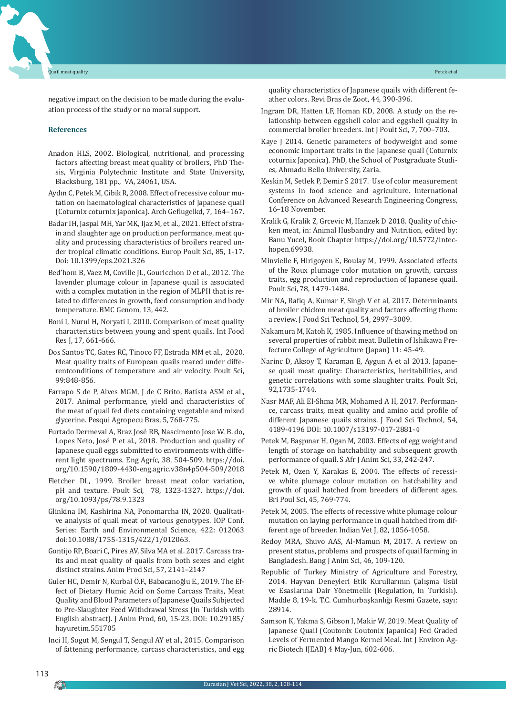negative impact on the decision to be made during the evaluation process of the study or no moral support.

#### **References**

- Anadon HLS, 2002. Biological, nutritional, and processing factors affecting breast meat quality of broilers, PhD Thesis, Virginia Polytechnic Institute and State University, Blacksburg, 181 pp., VA, 24061, USA.
- Aydın C, Petek M, Cibik R, 2008. Effect of recessive colour mutation on haematological characteristics of Japanese quail (Coturnix coturnix japonica). Arch Geflugelkd, 7, 164–167.
- Badar IH, Jaspal MH, Yar MK, Ijaz M, et al., 2021. Effect of strain and slaughter age on production performance, meat quality and processing characteristics of broilers reared under tropical climatic conditions. Europ Poult Sci, 85, 1-17. Doi: 10.1399/eps.2021.326
- Bed'hom B, Vaez M, Coville JL, Gouricchon D et al., 2012. The lavender plumage colour in Japanese quail is associated with a complex mutation in the region of MLPH that is related to differences in growth, feed consumption and body temperature. BMC Genom, 13, 442.
- Boni I, Nurul H, Noryati I, 2010. Comparison of meat quality characteristics between young and spent quails. Int Food Res J, 17, 661-666.
- Dos Santos TC, Gates RC, Tinoco FF, Estrada MM et al., 2020. Meat quality traits of European quails reared under differentconditions of temperature and air velocity. Poult Sci, 99:848-856.
- Farrapo S de P, Alves MGM, J de C Brito, Batista ASM et al., 2017. Animal performance, yield and characteristics of the meat of quail fed diets containing vegetable and mixed glycerine. Pesqui Agropecu Bras, 5, 768-775.
- Furtado Dermeval A, Braz José RB, Nascimento Jose W. B. do, Lopes Neto, José P et al., 2018. Production and quality of Japanese quail eggs submitted to environments with different light spectrums. Eng Agríc, 38, 504-509. https://doi. org/10.1590/1809-4430-eng.agric.v38n4p504-509/2018
- Fletcher DL, 1999. Broiler breast meat color variation, pH and texture. Poult Sci, 78, 1323-1327. https://doi. org/10.1093/ps/78.9.1323
- Glinkina IM, Kashirina NA, Ponomarcha IN, 2020. Qualitative analysis of quail meat of various genotypes. IOP Conf. Series: Earth and Environmental Science, 422: 012063 doi:10.1088/1755-1315/422/1/012063.
- Gontijo RP, Boari C, Pires AV, Silva MA et al. 2017. Carcass traits and meat quality of quails from both sexes and eight distinct strains. Anim Prod Sci, 57, 2141–2147
- Guler HC, Demir N, Kurbal Ö.F., Babacanoğlu E., 2019. The Effect of Dietary Humic Acid on Some Carcass Traits, Meat Quality and Blood Parameters of Japanese Quails Subjected to Pre-Slaughter Feed Withdrawal Stress (In Turkish with English abstract). J Anim Prod, 60, 15-23. DOI: 10.29185/ hayuretim.551705
- Inci H, Sogut M, Sengul T, Sengul AY et al., 2015. Comparison of fattening performance, carcass characteristics, and egg

quality characteristics of Japanese quails with different feather colors. Revi Bras de Zoot, 44, 390-396.

- Ingram DR, Hatten LF, Homan KD, 2008. A study on the relationship between eggshell color and eggshell quality in commercial broiler breeders. Int J Poult Sci, 7, 700–703.
- Kaye J 2014. Genetic parameters of bodyweight and some economic important traits in the Japanese quail (Coturnix coturnix Japonica). PhD, the School of Postgraduate Studies, Ahmadu Bello University, Zaria.
- Keskin M, Setlek P, Demir S 2017. Use of color measurement systems in food science and agriculture. International Conference on Advanced Research Engineering Congress, 16–18 November.
- Kralik G, Kralik Z, Grcevic M, Hanzek D 2018. Quality of chicken meat, in: Animal Husbandry and Nutrition, edited by: Banu Yucel, Book Chapter https://doi.org/10.5772/intechopen.69938.
- Minvielle F, Hirigoyen E, Boulay M, 1999. Associated effects of the Roux plumage color mutation on growth, carcass traits, egg production and reproduction of Japanese quail. Poult Sci, 78, 1479-1484.
- Mir NA, Rafiq A, Kumar F, Singh V et al, 2017. Determinants of broiler chicken meat quality and factors affecting them: a review. J Food Sci Technol, 54, 2997–3009.
- Nakamura M, Katoh K, 1985. Influence of thawing method on several properties of rabbit meat. Bulletin of Ishikawa Prefecture College of Agriculture (Japan) 11: 45-49.
- Narinc D, Aksoy T, Karaman E, Aygun A et al 2013. Japanese quail meat quality: Characteristics, heritabilities, and genetic correlations with some slaughter traits. Poult Sci, 92,1735-1744.
- Nasr MAF, Ali El-Shma MR, Mohamed A H, 2017. Performance, carcass traits, meat quality and amino acid profile of different Japanese quails strains. J Food Sci Technol, 54, 4189-4196 DOI: 10.1007/s13197-017-2881-4
- Petek M, Başpınar H, Ogan M, 2003. Effects of egg weight and length of storage on hatchability and subsequent growth performance of quail. S Afr J Anim Sci, 33, 242-247.
- Petek M, Ozen Y, Karakas E, 2004. The effects of recessive white plumage colour mutation on hatchability and growth of quail hatched from breeders of different ages. Bri Poul Sci, 45, 769-774.
- Petek M, 2005. The effects of recessive white plumage colour mutation on laying performance in quail hatched from different age of breeder. Indian Vet J, 82, 1056-1058.
- Redoy MRA, Shuvo AAS, Al-Mamun M, 2017. A review on present status, problems and prospects of quail farming in Bangladesh. Bang J Anim Sci, 46, 109-120.
- Republic of Turkey Ministry of Agriculture and Forestry, 2014. Hayvan Deneyleri Etik Kurullarının Çalışma Usül ve Esaslarına Dair Yönetmelik (Regulation, In Turkish). Madde 8, 19-k. T.C. Cumhurbaşkanlığı Resmi Gazete, sayı: 28914.
- Samson K, Yakma S, Gibson I, Makir W, 2019. Meat Quality of Japanese Quail (Coutonix Coutonix Japanica) Fed Graded Levels of Fermented Mango Kernel Meal. Int J Environ Agric Biotech IJEAB) 4 May-Jun, 602-606.